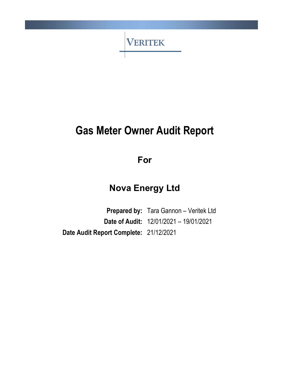

# Gas Meter Owner Audit Report

For

# Nova Energy Ltd

Prepared by: Tara Gannon - Veritek Ltd Date of Audit: 12/01/2021 – 19/01/2021 Date Audit Report Complete: 21/12/2021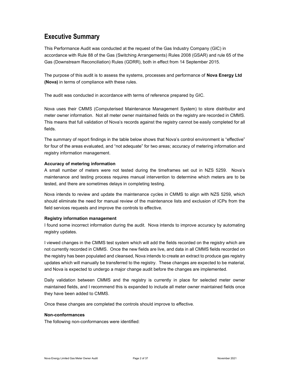### Executive Summary

This Performance Audit was conducted at the request of the Gas Industry Company (GIC) in accordance with Rule 88 of the Gas (Switching Arrangements) Rules 2008 (GSAR) and rule 65 of the Gas (Downstream Reconciliation) Rules (GDRR), both in effect from 14 September 2015.

The purpose of this audit is to assess the systems, processes and performance of Nova Energy Ltd (Nova) in terms of compliance with these rules.

The audit was conducted in accordance with terms of reference prepared by GIC.

Nova uses their CMMS (Computerised Maintenance Management System) to store distributor and meter owner information. Not all meter owner maintained fields on the registry are recorded in CMMS. This means that full validation of Nova's records against the registry cannot be easily completed for all fields.

The summary of report findings in the table below shows that Nova's control environment is "effective" for four of the areas evaluated, and "not adequate" for two areas; accuracy of metering information and registry information management.

#### Accuracy of metering information

A small number of meters were not tested during the timeframes set out in NZS 5259. Nova's maintenance and testing process requires manual intervention to determine which meters are to be tested, and there are sometimes delays in completing testing.

Nova intends to review and update the maintenance cycles in CMMS to align with NZS 5259, which should eliminate the need for manual review of the maintenance lists and exclusion of ICPs from the field services requests and improve the controls to effective.

#### Registry information management

I found some incorrect information during the audit. Nova intends to improve accuracy by automating registry updates.

I viewed changes in the CMMS test system which will add the fields recorded on the registry which are not currently recorded in CMMS. Once the new fields are live, and data in all CMMS fields recorded on the registry has been populated and cleansed, Nova intends to create an extract to produce gas registry updates which will manually be transferred to the registry. These changes are expected to be material, and Nova is expected to undergo a major change audit before the changes are implemented.

Daily validation between CMMS and the registry is currently in place for selected meter owner maintained fields, and I recommend this is expanded to include all meter owner maintained fields once they have been added to CMMS.

Once these changes are completed the controls should improve to effective.

#### Non-conformances

The following non-conformances were identified: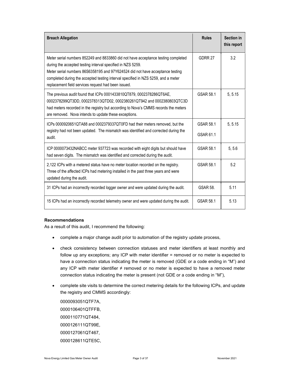| <b>Breach Allegation</b>                                                                                                                                                                                                                                                                                                                                                      | <b>Rules</b>           | Section in<br>this report |
|-------------------------------------------------------------------------------------------------------------------------------------------------------------------------------------------------------------------------------------------------------------------------------------------------------------------------------------------------------------------------------|------------------------|---------------------------|
| Meter serial numbers 852249 and 8833860 did not have acceptance testing completed<br>during the accepted testing interval specified in NZS 5259.<br>Meter serial numbers 86S6358195 and 97Y624524 did not have acceptance testing<br>completed during the accepted testing interval specified in NZS 5259, and a meter<br>replacement field services request had been issued. | GDRR 27                | 3.2                       |
| The previous audit found that ICPs 0001433810QT879, 0002378286QT6AE,<br>0002378299QT3DD, 0002378313QTD02, 0002380261QT942 and 0002380803QTC3D<br>had meters recorded in the registry but according to Nova's CMMS records the meters<br>are removed. Nova intends to update these exceptions.                                                                                 | GSAR 58.1              | 5, 5.15                   |
| ICPs 0000920651QTA88 and 0002379337QT0FD had their meters removed, but the<br>registry had not been updated. The mismatch was identified and corrected during the<br>audit.                                                                                                                                                                                                   | GSAR 58.1<br>GSAR 61.1 | 5, 5.15                   |
| ICP 0000073432NABCC meter 937723 was recorded with eight digits but should have<br>had seven digits. The mismatch was identified and corrected during the audit.                                                                                                                                                                                                              | GSAR 58.1              | 5, 5.6                    |
| 2,122 ICPs with a metered status have no meter location recorded on the registry.<br>Three of the affected ICPs had metering installed in the past three years and were<br>updated during the audit.                                                                                                                                                                          | GSAR 58.1              | 5.2                       |
| 31 ICPs had an incorrectly recorded logger owner and were updated during the audit.                                                                                                                                                                                                                                                                                           | <b>GSAR 58.</b>        | 5.11                      |
| 15 ICPs had an incorrectly recorded telemetry owner and were updated during the audit.                                                                                                                                                                                                                                                                                        | GSAR 58.1              | 5.13                      |

#### Recommendations

As a result of this audit, I recommend the following:

- complete a major change audit prior to automation of the registry update process,
- check consistency between connection statuses and meter identifiers at least monthly and follow up any exceptions; any ICP with meter identifier = removed or no meter is expected to have a connection status indicating the meter is removed (GDE or a code ending in "M") and any ICP with meter identifier  $\neq$  removed or no meter is expected to have a removed meter connection status indicating the meter is present (not GDE or a code ending in "M"),
- complete site visits to determine the correct metering details for the following ICPs, and update the registry and CMMS accordingly:

0000093051QTF7A, 0000106401QTFFB, 0000110771QT484, 0000126111QT99E, 0000127061QT467, 0000128611QTE5C,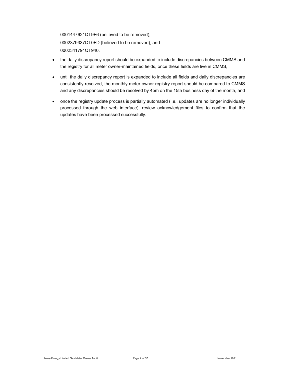0001447621QT9F6 (believed to be removed), 0002379337QT0FD (believed to be removed), and 0002341791QT940.

- the daily discrepancy report should be expanded to include discrepancies between CMMS and the registry for all meter owner-maintained fields, once these fields are live in CMMS,
- until the daily discrepancy report is expanded to include all fields and daily discrepancies are consistently resolved, the monthly meter owner registry report should be compared to CMMS and any discrepancies should be resolved by 4pm on the 15th business day of the month, and
- once the registry update process is partially automated (i.e., updates are no longer individually processed through the web interface), review acknowledgement files to confirm that the updates have been processed successfully.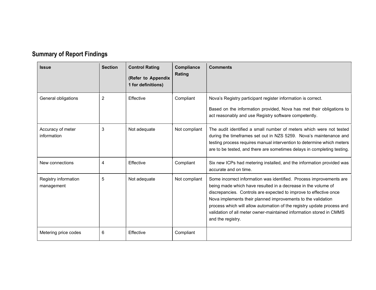| <b>Summary of Report Findings</b> |  |
|-----------------------------------|--|
|                                   |  |

| <b>Issue</b>                       | <b>Section</b> | <b>Control Rating</b><br>(Refer to Appendix<br>1 for definitions) | Compliance<br>Rating | <b>Comments</b>                                                                                                                                                                                                                                                                                                                                                                                                                                 |
|------------------------------------|----------------|-------------------------------------------------------------------|----------------------|-------------------------------------------------------------------------------------------------------------------------------------------------------------------------------------------------------------------------------------------------------------------------------------------------------------------------------------------------------------------------------------------------------------------------------------------------|
| General obligations                | 2              | Effective                                                         | Compliant            | Nova's Registry participant register information is correct.<br>Based on the information provided, Nova has met their obligations to<br>act reasonably and use Registry software competently.                                                                                                                                                                                                                                                   |
| Accuracy of meter<br>information   | 3              | Not adequate                                                      | Not compliant        | The audit identified a small number of meters which were not tested<br>during the timeframes set out in NZS 5259. Nova's maintenance and<br>testing process requires manual intervention to determine which meters<br>are to be tested, and there are sometimes delays in completing testing.                                                                                                                                                   |
| New connections                    | 4              | Effective                                                         | Compliant            | Six new ICPs had metering installed, and the information provided was<br>accurate and on time.                                                                                                                                                                                                                                                                                                                                                  |
| Registry information<br>management | 5              | Not adequate                                                      | Not compliant        | Some incorrect information was identified. Process improvements are<br>being made which have resulted in a decrease in the volume of<br>discrepancies. Controls are expected to improve to effective once<br>Nova implements their planned improvements to the validation<br>process which will allow automation of the registry update process and<br>validation of all meter owner-maintained information stored in CMMS<br>and the registry. |
| Metering price codes               | 6              | Effective                                                         | Compliant            |                                                                                                                                                                                                                                                                                                                                                                                                                                                 |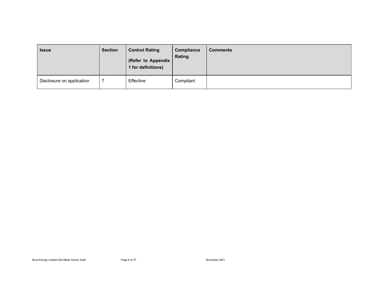| <b>Issue</b>              | <b>Section</b> | <b>Control Rating</b><br>(Refer to Appendix<br>1 for definitions) | Compliance<br>Rating | <b>Comments</b> |
|---------------------------|----------------|-------------------------------------------------------------------|----------------------|-----------------|
| Disclosure on application |                | Effective                                                         | Compliant            |                 |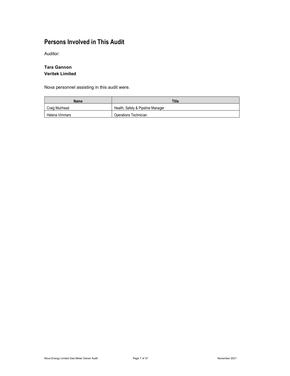### Persons Involved in This Audit

Auditor:

#### Tara Gannon Veritek Limited

Nova personnel assisting in this audit were.

| Name           | Title                             |
|----------------|-----------------------------------|
| Craig Muirhead | Health, Safety & Pipeline Manager |
| Helena Vimmars | Operations Technician             |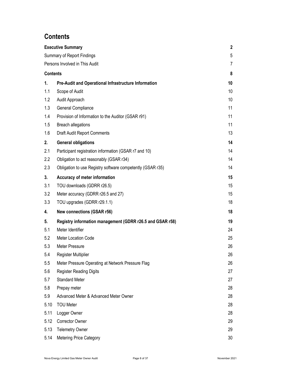### **Contents**

|                 | <b>Executive Summary</b>                                    | $\mathbf{2}$ |
|-----------------|-------------------------------------------------------------|--------------|
|                 | <b>Summary of Report Findings</b>                           | 5            |
|                 | Persons Involved in This Audit                              | 7            |
| <b>Contents</b> |                                                             | 8            |
| 1.              | <b>Pre-Audit and Operational Infrastructure Information</b> | 10           |
| 1.1             | Scope of Audit                                              | 10           |
| 1.2             | Audit Approach                                              | 10           |
| 1.3             | General Compliance                                          | 11           |
| 1.4             | Provision of Information to the Auditor (GSAR r91)          | 11           |
| 1.5             | <b>Breach allegations</b>                                   | 11           |
| 1.6             | <b>Draft Audit Report Comments</b>                          | 13           |
| 2.              | <b>General obligations</b>                                  | 14           |
| 2.1             | Participant registration information (GSAR r7 and 10)       | 14           |
| 2.2             | Obligation to act reasonably (GSAR r34)                     | 14           |
| 2.3             | Obligation to use Registry software competently (GSAR r35)  | 14           |
| 3.              | Accuracy of meter information                               | 15           |
| 3.1             | TOU downloads (GDRR r26.5)                                  | 15           |
| 3.2             | Meter accuracy (GDRR r26.5 and 27)                          | 15           |
| 3.3             | TOU upgrades (GDRR r29.1.1)                                 | 18           |
| 4.              | <b>New connections (GSAR r56)</b>                           | 18           |
| 5.              | Registry information management (GDRR r26.5 and GSAR r58)   | 19           |
| 5.1             | Meter Identifier                                            | 24           |
| 5.2             | Meter Location Code                                         | 25           |
| 5.3             | <b>Meter Pressure</b>                                       | 26           |
| 5.4             | <b>Register Multiplier</b>                                  | 26           |
| 5.5             | Meter Pressure Operating at Network Pressure Flag           | 26           |
| 5.6             | <b>Register Reading Digits</b>                              | 27           |
| 5.7             | <b>Standard Meter</b>                                       | 27           |
| 5.8             | Prepay meter                                                | 28           |
| 5.9             | Advanced Meter & Advanced Meter Owner                       | 28           |
| 5.10            | <b>TOU Meter</b>                                            | 28           |
| 5.11            | Logger Owner                                                | 28           |
| 5.12            | Corrector Owner                                             | 29           |
| 5.13            | <b>Telemetry Owner</b>                                      | 29           |
| 5.14            | Metering Price Category                                     | 30           |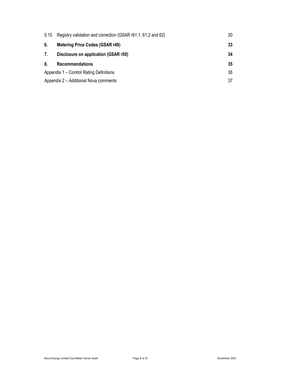| 5.15 | Registry validation and correction (GSAR r61.1, 61.2 and 62) | 30 |
|------|--------------------------------------------------------------|----|
| 6.   | <b>Metering Price Codes (GSAR r49)</b>                       | 33 |
| 7.   | Disclosure on application (GSAR r50)                         | 34 |
| 8.   | Recommendations                                              | 35 |
|      | Appendix 1 – Control Rating Definitions                      | 36 |
|      | Appendix 2 - Additional Nova comments                        | 37 |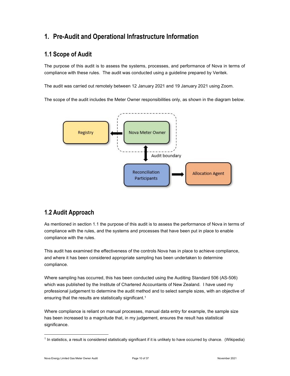### 1. Pre-Audit and Operational Infrastructure Information

### 1.1 Scope of Audit

The purpose of this audit is to assess the systems, processes, and performance of Nova in terms of compliance with these rules. The audit was conducted using a guideline prepared by Veritek.

The audit was carried out remotely between 12 January 2021 and 19 January 2021 using Zoom.

The scope of the audit includes the Meter Owner responsibilities only, as shown in the diagram below.



### 1.2 Audit Approach

As mentioned in section 1.1 the purpose of this audit is to assess the performance of Nova in terms of compliance with the rules, and the systems and processes that have been put in place to enable compliance with the rules.

This audit has examined the effectiveness of the controls Nova has in place to achieve compliance, and where it has been considered appropriate sampling has been undertaken to determine compliance.

Where sampling has occurred, this has been conducted using the Auditing Standard 506 (AS-506) which was published by the Institute of Chartered Accountants of New Zealand. I have used my professional judgement to determine the audit method and to select sample sizes, with an objective of ensuring that the results are statistically significant.<sup>1</sup>

Where compliance is reliant on manual processes, manual data entry for example, the sample size has been increased to a magnitude that, in my judgement, ensures the result has statistical significance.

<sup>1</sup> In statistics, a result is considered statistically significant if it is unlikely to have occurred by chance. (Wikipedia)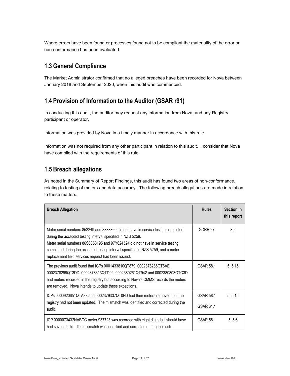Where errors have been found or processes found not to be compliant the materiality of the error or non-conformance has been evaluated.

### 1.3 General Compliance

The Market Administrator confirmed that no alleged breaches have been recorded for Nova between January 2018 and September 2020, when this audit was commenced.

### 1.4 Provision of Information to the Auditor (GSAR r91)

In conducting this audit, the auditor may request any information from Nova, and any Registry participant or operator.

Information was provided by Nova in a timely manner in accordance with this rule.

Information was not required from any other participant in relation to this audit. I consider that Nova have complied with the requirements of this rule.

### 1.5 Breach allegations

As noted in the Summary of Report Findings, this audit has found two areas of non-conformance, relating to testing of meters and data accuracy. The following breach allegations are made in relation to these matters.

| <b>Breach Allegation</b>                                                                                                                                                                                                                                                                                                                                                      | <b>Rules</b>           | Section in<br>this report |
|-------------------------------------------------------------------------------------------------------------------------------------------------------------------------------------------------------------------------------------------------------------------------------------------------------------------------------------------------------------------------------|------------------------|---------------------------|
| Meter serial numbers 852249 and 8833860 did not have in service testing completed<br>during the accepted testing interval specified in NZS 5259.<br>Meter serial numbers 86S6358195 and 97Y624524 did not have in service testing<br>completed during the accepted testing interval specified in NZS 5259, and a meter<br>replacement field services request had been issued. | GDRR 27                | 3.2                       |
| The previous audit found that ICPs 0001433810QT879, 0002378286QT6AE,<br>0002378299QT3DD, 0002378313QTD02, 0002380261QT942 and 0002380803QTC3D<br>had meters recorded in the registry but according to Nova's CMMS records the meters<br>are removed. Nova intends to update these exceptions.                                                                                 | GSAR 58.1              | 5, 5.15                   |
| ICPs 0000920651QTA88 and 0002379337QT0FD had their meters removed, but the<br>registry had not been updated. The mismatch was identified and corrected during the<br>audit.                                                                                                                                                                                                   | GSAR 58.1<br>GSAR 61.1 | 5, 5.15                   |
| ICP 0000073432NABCC meter 937723 was recorded with eight digits but should have<br>had seven digits. The mismatch was identified and corrected during the audit.                                                                                                                                                                                                              | GSAR 58.1              | 5, 5.6                    |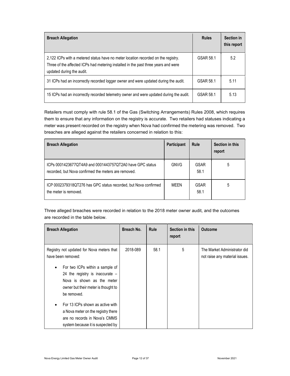| <b>Breach Allegation</b>                                                                                                                                                                             | <b>Rules</b> | <b>Section in</b><br>this report |
|------------------------------------------------------------------------------------------------------------------------------------------------------------------------------------------------------|--------------|----------------------------------|
| 2,122 ICPs with a metered status have no meter location recorded on the registry.<br>Three of the affected ICPs had metering installed in the past three years and were<br>updated during the audit. | GSAR 58.1    | 5.2                              |
| 31 ICPs had an incorrectly recorded logger owner and were updated during the audit.                                                                                                                  | GSAR 58.1    | 5.11                             |
| 15 ICPs had an incorrectly recorded telemetry owner and were updated during the audit.                                                                                                               | GSAR 58.1    | 5.13                             |

Retailers must comply with rule 58.1 of the Gas (Switching Arrangements) Rules 2008, which requires them to ensure that any information on the registry is accurate. Two retailers had statuses indicating a meter was present recorded on the registry when Nova had confirmed the metering was removed. Two breaches are alleged against the retailers concerned in relation to this:

| <b>Breach Allegation</b>                                                                                         | Participant | Rule                | Section in this<br>report |
|------------------------------------------------------------------------------------------------------------------|-------------|---------------------|---------------------------|
| ICPs 0001423677QT4A9 and 0001443757QT2A0 have GPC status<br>recorded, but Nova confirmed the meters are removed. | <b>GNVG</b> | <b>GSAR</b><br>58.1 | 5                         |
| ICP 0002379318QT276 has GPC status recorded, but Nova confirmed<br>the meter is removed.                         | MFFN        | <b>GSAR</b><br>58.1 | 5                         |

Three alleged breaches were recorded in relation to the 2018 meter owner audit, and the outcomes are recorded in the table below.

| <b>Breach Allegation</b>                                                                                                                                                                                                                                                                                                                            | Breach No. | <b>Rule</b> | Section in this<br>report | <b>Outcome</b>                                                 |
|-----------------------------------------------------------------------------------------------------------------------------------------------------------------------------------------------------------------------------------------------------------------------------------------------------------------------------------------------------|------------|-------------|---------------------------|----------------------------------------------------------------|
| Registry not updated for Nova meters that<br>have been removed:<br>For two ICPs within a sample of<br>$\bullet$<br>24 the registry is inaccurate $-$<br>Nova is shown as the meter<br>owner but their meter is thought to<br>be removed.<br>For 13 ICPs shown as active with<br>a Nova meter on the registry there<br>are no records in Nova's CMMS | 2018-089   | 58.1        | 5                         | The Market Administrator did<br>not raise any material issues. |
| system because it is suspected by                                                                                                                                                                                                                                                                                                                   |            |             |                           |                                                                |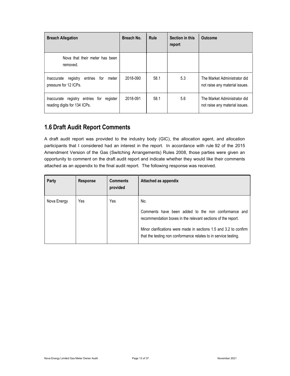| <b>Breach Allegation</b>                                                       | Breach No. | <b>Rule</b> | Section in this<br>report | <b>Outcome</b>                                                 |
|--------------------------------------------------------------------------------|------------|-------------|---------------------------|----------------------------------------------------------------|
| Nova that their meter has been<br>removed.                                     |            |             |                           |                                                                |
| entries<br>for<br>Inaccurate<br>registry<br>meter<br>pressure for 12 ICPs.     | 2018-090   | 58.1        | 5.3                       | The Market Administrator did<br>not raise any material issues. |
| registry entries for<br>register<br>Inaccurate<br>reading digits for 134 ICPs. | 2018-091   | 58.1        | 5.6                       | The Market Administrator did<br>not raise any material issues. |

### 1.6 Draft Audit Report Comments

A draft audit report was provided to the industry body (GIC), the allocation agent, and allocation participants that I considered had an interest in the report. In accordance with rule 92 of the 2015 Amendment Version of the Gas (Switching Arrangements) Rules 2008, those parties were given an opportunity to comment on the draft audit report and indicate whether they would like their comments attached as an appendix to the final audit report. The following response was received.

| Party       | Response | <b>Comments</b><br>provided | Attached as appendix                                                                                                                                                                                                                                               |
|-------------|----------|-----------------------------|--------------------------------------------------------------------------------------------------------------------------------------------------------------------------------------------------------------------------------------------------------------------|
| Nova Energy | Yes      | Yes                         | No.<br>Comments have been added to the non conformance and<br>recommendation boxes in the relevant sections of the report.<br>Minor clarifications were made in sections 1.5 and 3.2 to confirm<br>that the testing non conformance relates to in service testing. |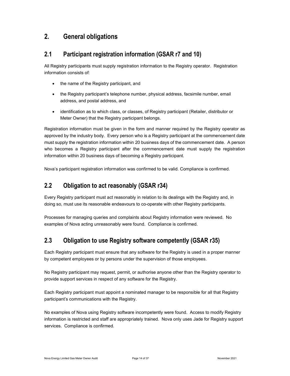### 2. General obligations

### 2.1 Participant registration information (GSAR r7 and 10)

All Registry participants must supply registration information to the Registry operator. Registration information consists of:

- the name of the Registry participant, and
- the Registry participant's telephone number, physical address, facsimile number, email address, and postal address, and
- identification as to which class, or classes, of Registry participant (Retailer, distributor or Meter Owner) that the Registry participant belongs.

Registration information must be given in the form and manner required by the Registry operator as approved by the industry body. Every person who is a Registry participant at the commencement date must supply the registration information within 20 business days of the commencement date. A person who becomes a Registry participant after the commencement date must supply the registration information within 20 business days of becoming a Registry participant.

Nova's participant registration information was confirmed to be valid. Compliance is confirmed.

### 2.2 Obligation to act reasonably (GSAR r34)

Every Registry participant must act reasonably in relation to its dealings with the Registry and, in doing so, must use its reasonable endeavours to co-operate with other Registry participants.

Processes for managing queries and complaints about Registry information were reviewed. No examples of Nova acting unreasonably were found. Compliance is confirmed.

### 2.3 Obligation to use Registry software competently (GSAR r35)

Each Registry participant must ensure that any software for the Registry is used in a proper manner by competent employees or by persons under the supervision of those employees.

No Registry participant may request, permit, or authorise anyone other than the Registry operator to provide support services in respect of any software for the Registry.

Each Registry participant must appoint a nominated manager to be responsible for all that Registry participant's communications with the Registry.

No examples of Nova using Registry software incompetently were found. Access to modify Registry information is restricted and staff are appropriately trained. Nova only uses Jade for Registry support services. Compliance is confirmed.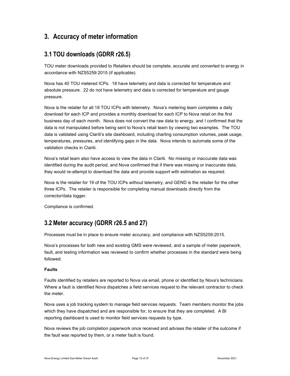### 3. Accuracy of meter information

### 3.1 TOU downloads (GDRR r26.5)

TOU meter downloads provided to Retailers should be complete, accurate and converted to energy in accordance with NZS5259:2015 (if applicable).

Nova has 40 TOU metered ICPs. 18 have telemetry and data is corrected for temperature and absolute pressure. 22 do not have telemetry and data is corrected for temperature and gauge pressure.

Nova is the retailer for all 18 TOU ICPs with telemetry. Nova's metering team completes a daily download for each ICP and provides a monthly download for each ICP to Nova retail on the first business day of each month. Nova does not convert the raw data to energy, and I confirmed that the data is not manipulated before being sent to Nova's retail team by viewing two examples. The TOU data is validated using Clariti's site dashboard, including charting consumption volumes, peak usage, temperatures, pressures, and identifying gaps in the data. Nova intends to automate some of the validation checks in Clariti.

Nova's retail team also have access to view the data in Clariti. No missing or inaccurate data was identified during the audit period, and Nova confirmed that if there was missing or inaccurate data, they would re-attempt to download the data and provide support with estimation as required.

Nova is the retailer for 19 of the TOU ICPs without telemetry, and GEND is the retailer for the other three ICPs. The retailer is responsible for completing manual downloads directly from the corrector/data logger.

Compliance is confirmed.

### 3.2 Meter accuracy (GDRR r26.5 and 27)

Processes must be in place to ensure meter accuracy, and compliance with NZS5259:2015.

Nova's processes for both new and existing GMS were reviewed, and a sample of meter paperwork, fault, and testing information was reviewed to confirm whether processes in the standard were being followed.

#### Faults

Faults identified by retailers are reported to Nova via email, phone or identified by Nova's technicians. Where a fault is identified Nova dispatches a field services request to the relevant contractor to check the meter.

Nova uses a job tracking system to manage field services requests. Team members monitor the jobs which they have dispatched and are responsible for, to ensure that they are completed. A BI reporting dashboard is used to monitor field services requests by type.

Nova reviews the job completion paperwork once received and advises the retailer of the outcome if the fault was reported by them, or a meter fault is found.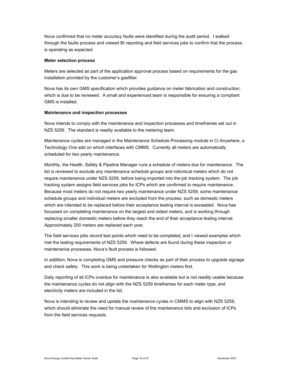Nova confirmed that no meter accuracy faults were identified during the audit period. I walked through the faults process and viewed BI reporting and field services jobs to confirm that the process is operating as expected.

#### Meter selection process

Meters are selected as part of the application approval process based on requirements for the gas installation provided by the customer's gasfitter.

Nova has its own GMS specification which provides guidance on meter fabrication and construction, which is due to be reviewed. A small and experienced team is responsible for ensuring a compliant GMS is installed.

#### Maintenance and inspection processes

Nova intends to comply with the maintenance and inspection processes and timeframes set out in NZS 5259. The standard is readily available to the metering team.

Maintenance cycles are managed in the Maintenance Schedule Processing module in Ci Anywhere, a Technology One add on which interfaces with CMMS. Currently all meters are automatically scheduled for two yearly maintenance.

Monthly, the Health, Safety & Pipeline Manager runs a schedule of meters due for maintenance. The list is reviewed to exclude any maintenance schedule groups and individual meters which do not require maintenance under NZS 5259, before being imported into the job tracking system. The job tracking system assigns field services jobs for ICPs which are confirmed to require maintenance. Because most meters do not require two yearly maintenance under NZS 5259, some maintenance schedule groups and individual meters are excluded from the process, such as domestic meters which are intended to be replaced before their acceptance testing interval is exceeded. Nova has focussed on completing maintenance on the largest and oldest meters, and is working through replacing smaller domestic meters before they reach the end of their acceptance testing interval. Approximately 200 meters are replaced each year.

The field services jobs record test points which need to be completed, and I viewed examples which met the testing requirements of NZS 5259. Where defects are found during these inspection or maintenance processes, Nova's fault process is followed.

In addition, Nova is completing GMS and pressure checks as part of their process to upgrade signage and check safety. This work is being undertaken for Wellington meters first.

Daily reporting of all ICPs overdue for maintenance is also available but is not readily usable because the maintenance cycles do not align with the NZS 5259 timeframes for each meter type, and electricity meters are included in the list.

Nova is intending to review and update the maintenance cycles in CMMS to align with NZS 5259, which should eliminate the need for manual review of the maintenance lists and exclusion of ICPs from the field services requests.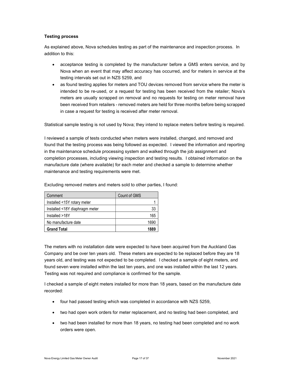#### Testing process

As explained above, Nova schedules testing as part of the maintenance and inspection process. In addition to this:

- acceptance testing is completed by the manufacturer before a GMS enters service, and by Nova when an event that may affect accuracy has occurred, and for meters in service at the testing intervals set out in NZS 5259, and
- as found testing applies for meters and TOU devices removed from service where the meter is intended to be re-used, or a request for testing has been received from the retailer; Nova's meters are usually scrapped on removal and no requests for testing on meter removal have been received from retailers - removed meters are held for three months before being scrapped in case a request for testing is received after meter removal.

Statistical sample testing is not used by Nova; they intend to replace meters before testing is required.

I reviewed a sample of tests conducted when meters were installed, changed, and removed and found that the testing process was being followed as expected. I viewed the information and reporting in the maintenance schedule processing system and walked through the job assignment and completion processes, including viewing inspection and testing results. I obtained information on the manufacture date (where available) for each meter and checked a sample to determine whether maintenance and testing requirements were met.

| Comment                        | Count of GMS |
|--------------------------------|--------------|
| Installed <15Y rotary meter    |              |
| Installed <18Y diaphragm meter | 33           |
| Installed >18Y                 | 165          |
| No manufacture date            | 1690         |
| <b>Grand Total</b>             | 1889         |

Excluding removed meters and meters sold to other parties, I found:

The meters with no installation date were expected to have been acquired from the Auckland Gas Company and be over ten years old. These meters are expected to be replaced before they are 18 years old, and testing was not expected to be completed. I checked a sample of eight meters, and found seven were installed within the last ten years, and one was installed within the last 12 years. Testing was not required and compliance is confirmed for the sample.

I checked a sample of eight meters installed for more than 18 years, based on the manufacture date recorded:

- four had passed testing which was completed in accordance with NZS 5259,
- two had open work orders for meter replacement, and no testing had been completed, and
- two had been installed for more than 18 years, no testing had been completed and no work orders were open.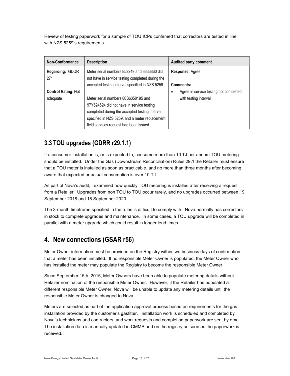Review of testing paperwork for a sample of TOU ICPs confirmed that correctors are tested in line with NZS 5259's requirements.

| Non-Conformance            | <b>Description</b>                                                                                                                                                                                                              | <b>Audited party comment</b>                                     |
|----------------------------|---------------------------------------------------------------------------------------------------------------------------------------------------------------------------------------------------------------------------------|------------------------------------------------------------------|
| Regarding: GDDR<br>271     | Meter serial numbers 852249 and 8833860 did<br>not have in service testing completed during the                                                                                                                                 | <b>Response: Agree</b>                                           |
| <b>Control Rating: Not</b> | accepted testing interval specified in NZS 5259.                                                                                                                                                                                | Comments:<br>Agree in service testing not completed<br>$\bullet$ |
| adeguate                   | Meter serial numbers 86S6358195 and<br>97Y624524 did not have in service testing<br>completed during the accepted testing interval<br>specified in NZS 5259, and a meter replacement<br>field services request had been issued. | with testing interval                                            |

### 3.3 TOU upgrades (GDRR r29.1.1)

If a consumer installation is, or is expected to, consume more than 10 TJ per annum TOU metering should be installed. Under the Gas (Downstream Reconciliation) Rules 29.1 the Retailer must ensure that a TOU meter is installed as soon as practicable, and no more than three months after becoming aware that expected or actual consumption is over 10 TJ.

As part of Nova's audit, I examined how quickly TOU metering is installed after receiving a request from a Retailer. Upgrades from non TOU to TOU occur rarely, and no upgrades occurred between 19 September 2018 and 18 September 2020.

The 3-month timeframe specified in the rules is difficult to comply with. Nova normally has correctors in stock to complete upgrades and maintenance. In some cases, a TOU upgrade will be completed in parallel with a meter upgrade which could result in longer lead times.

### 4. New connections (GSAR r56)

Meter Owner information must be provided on the Registry within two business days of confirmation that a meter has been installed. If no responsible Meter Owner is populated, the Meter Owner who has installed the meter may populate the Registry to become the responsible Meter Owner.

Since September 15th, 2015, Meter Owners have been able to populate metering details without Retailer nomination of the responsible Meter Owner. However, if the Retailer has populated a different responsible Meter Owner, Nova will be unable to update any metering details until the responsible Meter Owner is changed to Nova.

Meters are selected as part of the application approval process based on requirements for the gas installation provided by the customer's gasfitter. Installation work is scheduled and completed by Nova's technicians and contractors, and work requests and completion paperwork are sent by email. The installation data is manually updated in CMMS and on the registry as soon as the paperwork is received.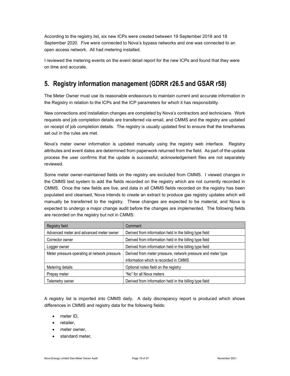According to the registry list, six new ICPs were created between 19 September 2018 and 18 September 2020. Five were connected to Nova's bypass networks and one was connected to an open access network. All had metering installed.

I reviewed the metering events on the event detail report for the new ICPs and found that they were on time and accurate.

### 5. Registry information management (GDRR r26.5 and GSAR r58)

The Meter Owner must use its reasonable endeavours to maintain current and accurate information in the Registry in relation to the ICPs and the ICP parameters for which it has responsibility.

New connections and installation changes are completed by Nova's contractors and technicians. Work requests and job completion details are transferred via email, and CMMS and the registry are updated on receipt of job completion details. The registry is usually updated first to ensure that the timeframes set out in the rules are met.

Nova's meter owner information is updated manually using the registry web interface. Registry attributes and event dates are determined from paperwork returned from the field. As part of the update process the user confirms that the update is successful; acknowledgement files are not separately reviewed.

Some meter owner-maintained fields on the registry are excluded from CMMS. I viewed changes in the CMMS test system to add the fields recorded on the registry which are not currently recorded in CMMS. Once the new fields are live, and data in all CMMS fields recorded on the registry has been populated and cleansed, Nova intends to create an extract to produce gas registry updates which will manually be transferred to the registry. These changes are expected to be material, and Nova is expected to undergo a major change audit before the changes are implemented. The following fields are recorded on the registry but not in CMMS:

| Registry field                               | Comment                                                      |  |
|----------------------------------------------|--------------------------------------------------------------|--|
| Advanced meter and advanced meter owner      | Derived from information held in the billing type field      |  |
| Corrector owner                              | Derived from information held in the billing type field      |  |
| Logger owner                                 | Derived from information held in the billing type field      |  |
| Meter pressure operating at network pressure | Derived from meter pressure, network pressure and meter type |  |
|                                              | information which is recorded in CMMS                        |  |
| Metering details                             | Optional notes field on the registry                         |  |
| Prepay meter                                 | "No" for all Nova meters                                     |  |
| Telemetry owner                              | Derived from information held in the billing type field      |  |

A registry list is imported into CMMS daily. A daily discrepancy report is produced which shows differences in CMMS and registry data for the following fields:

- meter ID,
- retailer,
- meter owner,
- standard meter,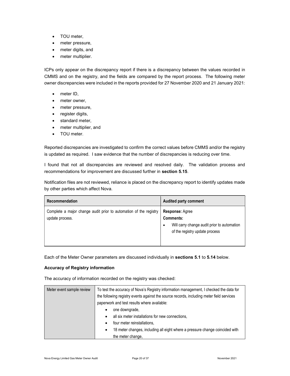- TOU meter,
- meter pressure,
- meter digits, and
- meter multiplier.

ICPs only appear on the discrepancy report if there is a discrepancy between the values recorded in CMMS and on the registry, and the fields are compared by the report process. The following meter owner discrepancies were included in the reports provided for 27 November 2020 and 21 January 2021:

- meter ID,
- meter owner,
- meter pressure,
- register digits,
- standard meter,
- meter multiplier, and
- TOU meter.

Reported discrepancies are investigated to confirm the correct values before CMMS and/or the registry is updated as required. I saw evidence that the number of discrepancies is reducing over time.

I found that not all discrepancies are reviewed and resolved daily. The validation process and recommendations for improvement are discussed further in section 5.15.

Notification files are not reviewed, reliance is placed on the discrepancy report to identify updates made by other parties which affect Nova.

| Recommendation                                                                       | <b>Audited party comment</b>                                                                                                             |
|--------------------------------------------------------------------------------------|------------------------------------------------------------------------------------------------------------------------------------------|
| Complete a major change audit prior to automation of the registry<br>update process. | <b>Response: Agree</b><br><b>Comments:</b><br>Will carry change audit prior to automation<br>$\bullet$<br>of the registry update process |

Each of the Meter Owner parameters are discussed individually in sections 5.1 to 5.14 below.

#### Accuracy of Registry information

The accuracy of information recorded on the registry was checked:

| Meter event sample review | To test the accuracy of Nova's Registry information management, I checked the data for<br>the following registry events against the source records, including meter field services<br>paperwork and test results where available: |  |
|---------------------------|-----------------------------------------------------------------------------------------------------------------------------------------------------------------------------------------------------------------------------------|--|
|                           | one downgrade,<br>٠<br>all six meter installations for new connections.<br>$\bullet$                                                                                                                                              |  |
|                           | four meter reinstallations.                                                                                                                                                                                                       |  |
|                           | 18 meter changes, including all eight where a pressure change coincided with                                                                                                                                                      |  |
|                           | the meter change,                                                                                                                                                                                                                 |  |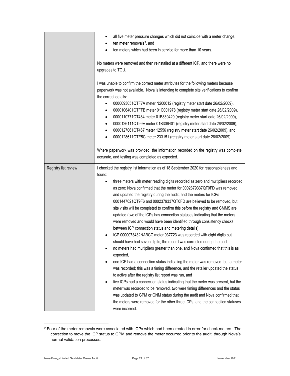|                      | all five meter pressure changes which did not coincide with a meter change,<br>٠                                                         |  |  |
|----------------------|------------------------------------------------------------------------------------------------------------------------------------------|--|--|
|                      | ten meter removals <sup>2</sup> , and<br>٠                                                                                               |  |  |
|                      | ten meters which had been in service for more than 10 years.<br>٠                                                                        |  |  |
|                      |                                                                                                                                          |  |  |
|                      | No meters were removed and then reinstalled at a different ICP, and there were no                                                        |  |  |
|                      | upgrades to TOU.                                                                                                                         |  |  |
|                      |                                                                                                                                          |  |  |
|                      | I was unable to confirm the correct meter attributes for the following meters because                                                    |  |  |
|                      | paperwork was not available. Nova is intending to complete site verifications to confirm                                                 |  |  |
|                      | the correct details:                                                                                                                     |  |  |
|                      | 0000093051QTF7A meter N200012 (registry meter start date 26/02/2009),<br>$\bullet$                                                       |  |  |
|                      | 0000106401QTFFB meter 01C001978 (registry meter start date 26/02/2009),<br>٠                                                             |  |  |
|                      | 0000110771QT484 meter 01B830420 (registry meter start date 26/02/2009),<br>٠                                                             |  |  |
|                      | 0000126111QT99E meter 01B306401 (registry meter start date 26/02/2009),<br>٠                                                             |  |  |
|                      | 0000127061QT467 meter 12556 (registry meter start date 26/02/2009), and<br>$\bullet$                                                     |  |  |
|                      |                                                                                                                                          |  |  |
|                      | 0000128611QTE5C meter 233151 (registry meter start date 26/02/2009).<br>$\bullet$                                                        |  |  |
|                      |                                                                                                                                          |  |  |
|                      | Where paperwork was provided, the information recorded on the registry was complete,                                                     |  |  |
|                      | accurate, and testing was completed as expected.                                                                                         |  |  |
| Registry list review | I checked the registry list information as of 18 September 2020 for reasonableness and                                                   |  |  |
|                      | found:                                                                                                                                   |  |  |
|                      | three meters with meter reading digits recorded as zero and multipliers recorded<br>$\bullet$                                            |  |  |
|                      | as zero; Nova confirmed that the meter for 0002379337QT0FD was removed                                                                   |  |  |
|                      | and updated the registry during the audit, and the meters for ICPs                                                                       |  |  |
|                      | 0001447621QT9F6 and 0002379337QT0FD are believed to be removed, but                                                                      |  |  |
|                      | site visits will be completed to confirm this before the registry and CMMS are                                                           |  |  |
|                      | updated (two of the ICPs has connection statuses indicating that the meters                                                              |  |  |
|                      | were removed and would have been identified through consistency checks                                                                   |  |  |
|                      | between ICP connection status and metering details),                                                                                     |  |  |
|                      | ICP 0000073432NABCC meter 937723 was recorded with eight digits but                                                                      |  |  |
|                      | should have had seven digits; the record was corrected during the audit,                                                                 |  |  |
|                      | no meters had multipliers greater than one, and Nova confirmed that this is as                                                           |  |  |
|                      | expected,                                                                                                                                |  |  |
|                      | one ICP had a connection status indicating the meter was removed, but a meter<br>٠                                                       |  |  |
|                      |                                                                                                                                          |  |  |
|                      | was recorded; this was a timing difference, and the retailer updated the status<br>to active after the registry list report was run, and |  |  |
|                      |                                                                                                                                          |  |  |
|                      | five ICPs had a connection status indicating that the meter was present, but the<br>٠                                                    |  |  |
|                      | meter was recorded to be removed, two were timing differences and the status                                                             |  |  |
|                      | was updated to GPM or GNM status during the audit and Nova confirmed that                                                                |  |  |
|                      | the meters were removed for the other three ICPs, and the connection statuses                                                            |  |  |
|                      | were incorrect.                                                                                                                          |  |  |

 $2$  Four of the meter removals were associated with ICPs which had been created in error for check meters. The correction to move the ICP status to GPM and remove the meter occurred prior to the audit, through Nova's normal validation processes.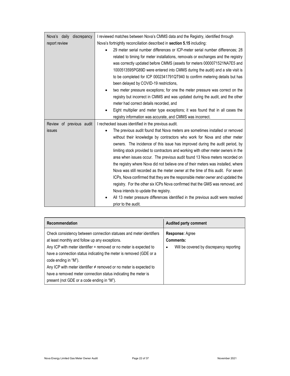| Nova's daily discrepancy<br>report review | I reviewed matches between Nova's CMMS data and the Registry, identified through<br>Nova's fortnightly reconciliation described in section 5.15 including:<br>29 meter serial number differences or ICP-meter serial number differences; 28<br>related to timing for meter installations, removals or exchanges and the registry<br>was correctly updated before CMMS (assets for meters 0000071521NA7E5 and<br>1000513595PG89D were entered into CMMS during the audit) and a site visit is<br>to be completed for ICP 0002341791QT940 to confirm metering details but has<br>been delayed by COVID-19 restrictions,<br>two meter pressure exceptions; for one the meter pressure was correct on the<br>registry but incorrect in CMMS and was updated during the audit, and the other<br>meter had correct details recorded, and<br>Eight multiplier and meter type exceptions; it was found that in all cases the                                                                                                            |
|-------------------------------------------|---------------------------------------------------------------------------------------------------------------------------------------------------------------------------------------------------------------------------------------------------------------------------------------------------------------------------------------------------------------------------------------------------------------------------------------------------------------------------------------------------------------------------------------------------------------------------------------------------------------------------------------------------------------------------------------------------------------------------------------------------------------------------------------------------------------------------------------------------------------------------------------------------------------------------------------------------------------------------------------------------------------------------------|
| Review of previous audit<br>issues        | registry information was accurate, and CMMS was incorrect.<br>I rechecked issues identified in the previous audit.<br>The previous audit found that Nova meters are sometimes installed or removed<br>without their knowledge by contractors who work for Nova and other meter<br>owners. The incidence of this issue has improved during the audit period, by<br>limiting stock provided to contractors and working with other meter owners in the<br>area when issues occur. The previous audit found 13 Nova meters recorded on<br>the registry where Nova did not believe one of their meters was installed, where<br>Nova was still recorded as the meter owner at the time of this audit. For seven<br>ICPs, Nova confirmed that they are the responsible meter owner and updated the<br>registry. For the other six ICPs Nova confirmed that the GMS was removed, and<br>Nova intends to update the registry.<br>All 13 meter pressure differences identified in the previous audit were resolved<br>prior to the audit. |

| Recommendation                                                                                                                                                                                                                                                                                                                                                                                                                                                                         | <b>Audited party comment</b>                                                                |
|----------------------------------------------------------------------------------------------------------------------------------------------------------------------------------------------------------------------------------------------------------------------------------------------------------------------------------------------------------------------------------------------------------------------------------------------------------------------------------------|---------------------------------------------------------------------------------------------|
| Check consistency between connection statuses and meter identifiers<br>at least monthly and follow up any exceptions.<br>Any ICP with meter identifier $=$ removed or no meter is expected to<br>have a connection status indicating the meter is removed (GDE or a<br>code ending in "M").<br>Any ICP with meter identifier $\neq$ removed or no meter is expected to<br>have a removed meter connection status indicating the meter is<br>present (not GDE or a code ending in "M"). | <b>Response: Agree</b><br><b>Comments:</b><br>Will be covered by discrepancy reporting<br>٠ |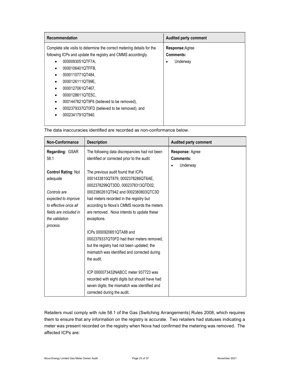| Recommendation                                                         | <b>Audited party comment</b> |
|------------------------------------------------------------------------|------------------------------|
| Complete site visits to determine the correct metering details for the | Response: Agree              |
| following ICPs and update the registry and CMMS accordingly.           | Comments:                    |
| 0000093051QTF7A.                                                       | Underway                     |
| 0000106401QTFFB.                                                       |                              |
| 0000110771QT484,<br>٠                                                  |                              |
| 0000126111QT99E,                                                       |                              |
| 0000127061QT467,<br>٠                                                  |                              |
| 0000128611QTE5C,                                                       |                              |
| 0001447621QT9F6 (believed to be removed),<br>٠                         |                              |
| 0002379337QT0FD (believed to be removed), and                          |                              |
| 0002341791QT940.                                                       |                              |
|                                                                        |                              |

| <b>Non-Conformance</b>     | <b>Description</b>                             | Audited party comment |
|----------------------------|------------------------------------------------|-----------------------|
| <b>Regarding: GSAR</b>     | The following data discrepancies had not been  | Response: Agree       |
| 58.1                       | identified or corrected prior to the audit:    | Comments:             |
|                            |                                                | Underway              |
| <b>Control Rating: Not</b> | The previous audit found that ICPs             |                       |
| adequate                   | 0001433810QT879, 0002378286QT6AE,              |                       |
|                            | 0002378299QT3DD, 0002378313QTD02,              |                       |
| Controls are               | 0002380261QT942 and 0002380803QTC3D            |                       |
| expected to improve        | had meters recorded in the registry but        |                       |
| to effective once all      | according to Nova's CMMS records the meters    |                       |
| fields are included in     | are removed. Nova intends to update these      |                       |
| the validation             | exceptions.                                    |                       |
| process.                   |                                                |                       |
|                            | ICPs 0000920651QTA88 and                       |                       |
|                            | 0002379337QT0FD had their meters removed,      |                       |
|                            | but the registry had not been updated; the     |                       |
|                            | mismatch was identified and corrected during   |                       |
|                            | the audit.                                     |                       |
|                            |                                                |                       |
|                            | ICP 0000073432NABCC meter 937723 was           |                       |
|                            | recorded with eight digits but should have had |                       |
|                            | seven digits; the mismatch was identified and  |                       |
|                            | corrected during the audit.                    |                       |

The data inaccuracies identified are recorded as non-conformance below.

Retailers must comply with rule 58.1 of the Gas (Switching Arrangements) Rules 2008, which requires them to ensure that any information on the registry is accurate. Two retailers had statuses indicating a meter was present recorded on the registry when Nova had confirmed the metering was removed. The affected ICPs are: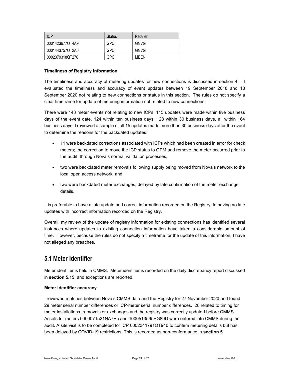| <b>ICP</b>      | Status | Retailer    |
|-----------------|--------|-------------|
| 0001423677QT4A9 | GPC    | <b>GNVG</b> |
| 0001443757QT2A0 | GPC    | <b>GNVG</b> |
| 0002379318QT276 | GPC    | MFFN        |

#### Timeliness of Registry information

The timeliness and accuracy of metering updates for new connections is discussed in section 4. I evaluated the timeliness and accuracy of event updates between 19 September 2018 and 18 September 2020 not relating to new connections or status in this section. The rules do not specify a clear timeframe for update of metering information not related to new connections.

There were 143 meter events not relating to new ICPs. 115 updates were made within five business days of the event date, 124 within ten business days, 128 within 30 business days, all within 164 business days. I reviewed a sample of all 15 updates made more than 30 business days after the event to determine the reasons for the backdated updates:

- 11 were backdated corrections associated with ICPs which had been created in error for check meters; the correction to move the ICP status to GPM and remove the meter occurred prior to the audit, through Nova's normal validation processes,
- two were backdated meter removals following supply being moved from Nova's network to the local open access network, and
- two were backdated meter exchanges, delayed by late confirmation of the meter exchange details.

It is preferable to have a late update and correct information recorded on the Registry, to having no late updates with incorrect information recorded on the Registry.

Overall, my review of the update of registry information for existing connections has identified several instances where updates to existing connection information have taken a considerable amount of time. However, because the rules do not specify a timeframe for the update of this information, I have not alleged any breaches.

### 5.1 Meter Identifier

Meter identifier is held in CMMS. Meter identifier is recorded on the daily discrepancy report discussed in section 5.15, and exceptions are reported.

#### Meter identifier accuracy

I reviewed matches between Nova's CMMS data and the Registry for 27 November 2020 and found 29 meter serial number differences or ICP-meter serial number differences. 28 related to timing for meter installations, removals or exchanges and the registry was correctly updated before CMMS. Assets for meters 0000071521NA7E5 and 1000513595PG89D were entered into CMMS during the audit. A site visit is to be completed for ICP 0002341791QT940 to confirm metering details but has been delayed by COVID-19 restrictions. This is recorded as non-conformance in section 5.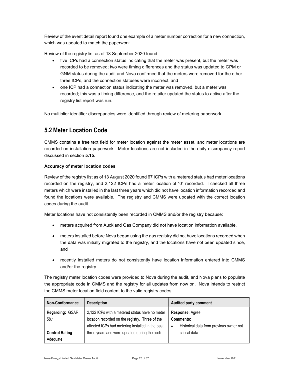Review of the event detail report found one example of a meter number correction for a new connection, which was updated to match the paperwork.

Review of the registry list as of 18 September 2020 found:

- five ICPs had a connection status indicating that the meter was present, but the meter was recorded to be removed; two were timing differences and the status was updated to GPM or GNM status during the audit and Nova confirmed that the meters were removed for the other three ICPs, and the connection statuses were incorrect, and
- one ICP had a connection status indicating the meter was removed, but a meter was recorded; this was a timing difference, and the retailer updated the status to active after the registry list report was run.

No multiplier identifier discrepancies were identified through review of metering paperwork.

### 5.2 Meter Location Code

CMMS contains a free text field for meter location against the meter asset, and meter locations are recorded on installation paperwork. Meter locations are not included in the daily discrepancy report discussed in section 5.15.

#### Accuracy of meter location codes

Review of the registry list as of 13 August 2020 found 67 ICPs with a metered status had meter locations recorded on the registry, and 2,122 ICPs had a meter location of "0" recorded. I checked all three meters which were installed in the last three years which did not have location information recorded and found the locations were available. The registry and CMMS were updated with the correct location codes during the audit.

Meter locations have not consistently been recorded in CMMS and/or the registry because:

- meters acquired from Auckland Gas Company did not have location information available,
- meters installed before Nova began using the gas registry did not have locations recorded when the data was initially migrated to the registry, and the locations have not been updated since, and
- recently installed meters do not consistently have location information entered into CMMS and/or the registry.

The registry meter location codes were provided to Nova during the audit, and Nova plans to populate the appropriate code in CMMS and the registry for all updates from now on. Nova intends to restrict the CMMS meter location field content to the valid registry codes.

| Non-Conformance                                               | <b>Description</b>                                                                                                                                                                                      | <b>Audited party comment</b>                                                                          |
|---------------------------------------------------------------|---------------------------------------------------------------------------------------------------------------------------------------------------------------------------------------------------------|-------------------------------------------------------------------------------------------------------|
| Regarding: GSAR<br>58.1<br><b>Control Rating:</b><br>Adequate | 2,122 ICPs with a metered status have no meter<br>location recorded on the registry. Three of the<br>affected ICPs had metering installed in the past<br>three years and were updated during the audit. | Response: Agree<br>Comments:<br>Historical data from previous owner not<br>$\bullet$<br>critical data |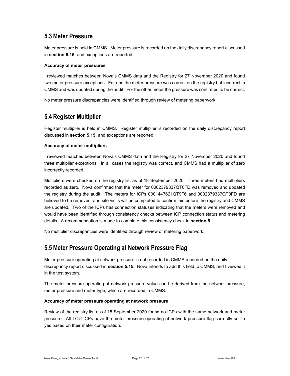### 5.3 Meter Pressure

Meter pressure is held in CMMS. Meter pressure is recorded on the daily discrepancy report discussed in section 5.15, and exceptions are reported.

#### Accuracy of meter pressures

I reviewed matches between Nova's CMMS data and the Registry for 27 November 2020 and found two meter pressure exceptions. For one the meter pressure was correct on the registry but incorrect in CMMS and was updated during the audit. For the other meter the pressure was confirmed to be correct.

No meter pressure discrepancies were identified through review of metering paperwork.

### 5.4 Register Multiplier

Register multiplier is held in CMMS. Register multiplier is recorded on the daily discrepancy report discussed in section 5.15, and exceptions are reported.

#### Accuracy of meter multipliers

I reviewed matches between Nova's CMMS data and the Registry for 27 November 2020 and found three multiplier exceptions. In all cases the registry was correct, and CMMS had a multiplier of zero incorrectly recorded.

Multipliers were checked on the registry list as of 18 September 2020. Three meters had multipliers recorded as zero. Nova confirmed that the meter for 0002379337QT0FD was removed and updated the registry during the audit. The meters for ICPs 0001447621QT9F6 and 0002379337QT0FD are believed to be removed, and site visits will be completed to confirm this before the registry and CMMS are updated. Two of the ICPs has connection statuses indicating that the meters were removed and would have been identified through consistency checks between ICP connection status and metering details. A recommendation is made to complete this consistency check in section 5.

No multiplier discrepancies were identified through review of metering paperwork.

### 5.5 Meter Pressure Operating at Network Pressure Flag

Meter pressure operating at network pressure is not recorded in CMMS recorded on the daily discrepancy report discussed in section 5.15. Nova intends to add this field to CMMS, and I viewed it in the test system.

The meter pressure operating at network pressure value can be derived from the network pressure, meter pressure and meter type, which are recorded in CMMS.

#### Accuracy of meter pressure operating at network pressure

Review of the registry list as of 18 September 2020 found no ICPs with the same network and meter pressure. All TOU ICPs have the meter pressure operating at network pressure flag correctly set to yes based on their meter configuration.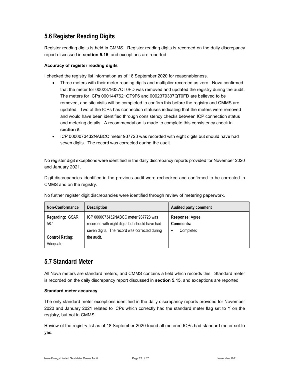### 5.6 Register Reading Digits

Register reading digits is held in CMMS. Register reading digits is recorded on the daily discrepancy report discussed in section 5.15, and exceptions are reported.

#### Accuracy of register reading digits

I checked the registry list information as of 18 September 2020 for reasonableness.

- Three meters with their meter reading digits and multiplier recorded as zero. Nova confirmed that the meter for 0002379337QT0FD was removed and updated the registry during the audit. The meters for ICPs 0001447621QT9F6 and 0002379337QT0FD are believed to be removed, and site visits will be completed to confirm this before the registry and CMMS are updated. Two of the ICPs has connection statuses indicating that the meters were removed and would have been identified through consistency checks between ICP connection status and metering details. A recommendation is made to complete this consistency check in section 5.
- ICP 0000073432NABCC meter 937723 was recorded with eight digits but should have had seven digits. The record was corrected during the audit.

No register digit exceptions were identified in the daily discrepancy reports provided for November 2020 and January 2021.

Digit discrepancies identified in the previous audit were rechecked and confirmed to be corrected in CMMS and on the registry.

| Non-Conformance                    | <b>Description</b>                                                                                                                      | <b>Audited party comment</b>                          |
|------------------------------------|-----------------------------------------------------------------------------------------------------------------------------------------|-------------------------------------------------------|
| Regarding: GSAR<br>58.1            | ICP 0000073432NABCC meter 937723 was<br>recorded with eight digits but should have had<br>seven digits. The record was corrected during | <b>Response: Agree</b><br>Comments:<br>Completed<br>٠ |
| <b>Control Rating:</b><br>Adequate | the audit.                                                                                                                              |                                                       |

No further register digit discrepancies were identified through review of metering paperwork.

### 5.7 Standard Meter

All Nova meters are standard meters, and CMMS contains a field which records this. Standard meter is recorded on the daily discrepancy report discussed in section 5.15, and exceptions are reported.

#### Standard meter accuracy

The only standard meter exceptions identified in the daily discrepancy reports provided for November 2020 and January 2021 related to ICPs which correctly had the standard meter flag set to Y on the registry, but not in CMMS.

Review of the registry list as of 18 September 2020 found all metered ICPs had standard meter set to yes.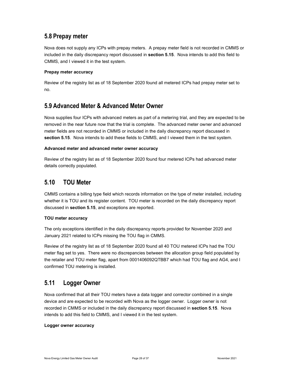### 5.8 Prepay meter

Nova does not supply any ICPs with prepay meters. A prepay meter field is not recorded in CMMS or included in the daily discrepancy report discussed in section 5.15. Nova intends to add this field to CMMS, and I viewed it in the test system.

#### Prepay meter accuracy

Review of the registry list as of 18 September 2020 found all metered ICPs had prepay meter set to no.

### 5.9 Advanced Meter & Advanced Meter Owner

Nova supplies four ICPs with advanced meters as part of a metering trial, and they are expected to be removed in the near future now that the trial is complete. The advanced meter owner and advanced meter fields are not recorded in CMMS or included in the daily discrepancy report discussed in section 5.15. Nova intends to add these fields to CMMS, and I viewed them in the test system.

#### Advanced meter and advanced meter owner accuracy

Review of the registry list as of 18 September 2020 found four metered ICPs had advanced meter details correctly populated.

### 5.10 TOU Meter

CMMS contains a billing type field which records information on the type of meter installed, including whether it is TOU and its register content. TOU meter is recorded on the daily discrepancy report discussed in section 5.15, and exceptions are reported.

#### TOU meter accuracy

The only exceptions identified in the daily discrepancy reports provided for November 2020 and January 2021 related to ICPs missing the TOU flag in CMMS.

Review of the registry list as of 18 September 2020 found all 40 TOU metered ICPs had the TOU meter flag set to yes. There were no discrepancies between the allocation group field populated by the retailer and TOU meter flag, apart from 0001406092QTBB7 which had TOU flag and AG4, and I confirmed TOU metering is installed.

### 5.11 Logger Owner

Nova confirmed that all their TOU meters have a data logger and corrector combined in a single device and are expected to be recorded with Nova as the logger owner. Logger owner is not recorded in CMMS or included in the daily discrepancy report discussed in section 5.15. Nova intends to add this field to CMMS, and I viewed it in the test system.

#### Logger owner accuracy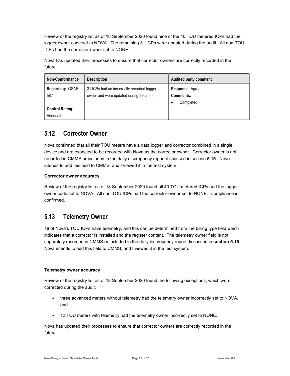Review of the registry list as of 18 September 2020 found nine of the 40 TOU metered ICPs had the logger owner code set to NOVA. The remaining 31 ICPs were updated during the audit. All non-TOU ICPs had the corrector owner set to NONE.

Nova has updated their processes to ensure that corrector owners are correctly recorded in the future.

| Non-Conformance                                               | <b>Description</b>                                                                     | <b>Audited party comment</b>                                 |
|---------------------------------------------------------------|----------------------------------------------------------------------------------------|--------------------------------------------------------------|
| Regarding: GSAR<br>58.1<br><b>Control Rating:</b><br>Adequate | 31 ICPs had an incorrectly recorded logger<br>owner and were updated during the audit. | <b>Response: Agree</b><br><b>Comments:</b><br>Completed<br>٠ |

### 5.12 Corrector Owner

Nova confirmed that all their TOU meters have a data logger and corrector combined in a single device and are expected to be recorded with Nova as the corrector owner. Corrector owner is not recorded in CMMS or included in the daily discrepancy report discussed in section 5.15. Nova intends to add this field to CMMS, and I viewed it in the test system.

#### Corrector owner accuracy

Review of the registry list as of 18 September 2020 found all 40 TOU metered ICPs had the logger owner code set to NOVA. All non-TOU ICPs had the corrector owner set to NONE. Compliance is confirmed.

### 5.13 Telemetry Owner

18 of Nova's TOU ICPs have telemetry, and this can be determined from the billing type field which indicates that a corrector is installed and the register content. The telemetry owner field is not separately recorded in CMMS or included in the daily discrepancy report discussed in section 5.15. Nova intends to add this field to CMMS, and I viewed it in the test system.

#### Telemetry owner accuracy

Review of the registry list as of 18 September 2020 found the following exceptions, which were corrected during the audit:

- three advanced meters without telemetry had the telemetry owner incorrectly set to NOVA, and
- 12 TOU meters with telemetry had the telemetry owner incorrectly set to NONE.

Nova has updated their processes to ensure that corrector owners are correctly recorded in the future.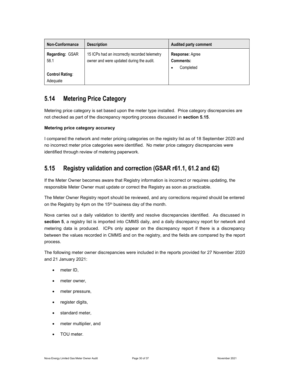| <b>Non-Conformance</b>                                        | <b>Description</b>                                                                        | <b>Audited party comment</b>                                 |
|---------------------------------------------------------------|-------------------------------------------------------------------------------------------|--------------------------------------------------------------|
| Regarding: GSAR<br>58.1<br><b>Control Rating:</b><br>Adequate | 15 ICPs had an incorrectly recorded telemetry<br>owner and were updated during the audit. | <b>Response: Agree</b><br><b>Comments:</b><br>Completed<br>٠ |

### 5.14 Metering Price Category

Metering price category is set based upon the meter type installed. Price category discrepancies are not checked as part of the discrepancy reporting process discussed in section 5.15.

#### Metering price category accuracy

I compared the network and meter pricing categories on the registry list as of 18 September 2020 and no incorrect meter price categories were identified. No meter price category discrepancies were identified through review of metering paperwork.

### 5.15 Registry validation and correction (GSAR r61.1, 61.2 and 62)

If the Meter Owner becomes aware that Registry information is incorrect or requires updating, the responsible Meter Owner must update or correct the Registry as soon as practicable.

The Meter Owner Registry report should be reviewed, and any corrections required should be entered on the Registry by 4pm on the 15<sup>th</sup> business day of the month.

Nova carries out a daily validation to identify and resolve discrepancies identified. As discussed in section 5, a registry list is imported into CMMS daily, and a daily discrepancy report for network and metering data is produced. ICPs only appear on the discrepancy report if there is a discrepancy between the values recorded in CMMS and on the registry, and the fields are compared by the report process.

The following meter owner discrepancies were included in the reports provided for 27 November 2020 and 21 January 2021:

- meter ID,
- meter owner,
- meter pressure,
- register digits,
- standard meter,
- meter multiplier, and
- TOU meter.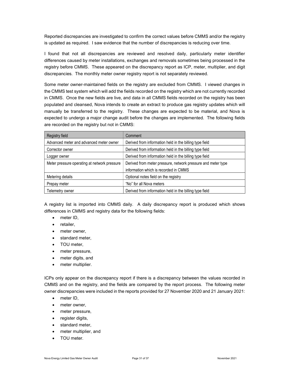Reported discrepancies are investigated to confirm the correct values before CMMS and/or the registry is updated as required. I saw evidence that the number of discrepancies is reducing over time.

I found that not all discrepancies are reviewed and resolved daily, particularly meter identifier differences caused by meter installations, exchanges and removals sometimes being processed in the registry before CMMS. These appeared on the discrepancy report as ICP, meter, multiplier, and digit discrepancies. The monthly meter owner registry report is not separately reviewed.

Some meter owner-maintained fields on the registry are excluded from CMMS. I viewed changes in the CMMS test system which will add the fields recorded on the registry which are not currently recorded in CMMS. Once the new fields are live, and data in all CMMS fields recorded on the registry has been populated and cleansed, Nova intends to create an extract to produce gas registry updates which will manually be transferred to the registry. These changes are expected to be material, and Nova is expected to undergo a major change audit before the changes are implemented. The following fields are recorded on the registry but not in CMMS:

| Registry field                               | Comment                                                      |
|----------------------------------------------|--------------------------------------------------------------|
| Advanced meter and advanced meter owner      | Derived from information held in the billing type field      |
| Corrector owner                              | Derived from information held in the billing type field      |
| Logger owner                                 | Derived from information held in the billing type field      |
| Meter pressure operating at network pressure | Derived from meter pressure, network pressure and meter type |
|                                              | information which is recorded in CMMS                        |
| Metering details                             | Optional notes field on the registry                         |
| Prepay meter                                 | "No" for all Nova meters                                     |
| Telemetry owner                              | Derived from information held in the billing type field      |

A registry list is imported into CMMS daily. A daily discrepancy report is produced which shows differences in CMMS and registry data for the following fields:

- meter ID.
- retailer,
- meter owner,
- standard meter,
- TOU meter.
- meter pressure,
- meter digits, and
- meter multiplier.

ICPs only appear on the discrepancy report if there is a discrepancy between the values recorded in CMMS and on the registry, and the fields are compared by the report process. The following meter owner discrepancies were included in the reports provided for 27 November 2020 and 21 January 2021:

- meter ID,
- meter owner.
- meter pressure,
- register digits,
- standard meter,
- meter multiplier, and
- TOU meter.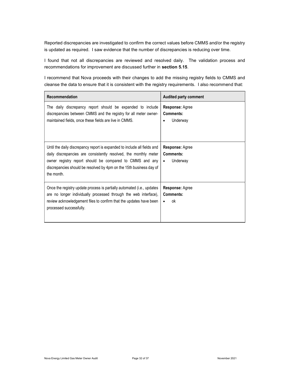Reported discrepancies are investigated to confirm the correct values before CMMS and/or the registry is updated as required. I saw evidence that the number of discrepancies is reducing over time.

I found that not all discrepancies are reviewed and resolved daily. The validation process and recommendations for improvement are discussed further in section 5.15.

I recommend that Nova proceeds with their changes to add the missing registry fields to CMMS and cleanse the data to ensure that it is consistent with the registry requirements. I also recommend that:

| Recommendation                                                                                                                                                                                                                                                                                | <b>Audited party comment</b>                                        |
|-----------------------------------------------------------------------------------------------------------------------------------------------------------------------------------------------------------------------------------------------------------------------------------------------|---------------------------------------------------------------------|
| The daily discrepancy report should be expanded to include<br>discrepancies between CMMS and the registry for all meter owner-<br>maintained fields, once these fields are live in CMMS.                                                                                                      | <b>Response: Agree</b><br><b>Comments:</b><br>Underway<br>$\bullet$ |
| Until the daily discrepancy report is expanded to include all fields and<br>daily discrepancies are consistently resolved, the monthly meter<br>owner registry report should be compared to CMMS and any<br>discrepancies should be resolved by 4pm on the 15th business day of<br>the month. | <b>Response: Agree</b><br>Comments:<br>Underway<br>$\bullet$        |
| Once the registry update process is partially automated (i.e., updates<br>are no longer individually processed through the web interface),<br>review acknowledgement files to confirm that the updates have been<br>processed successfully.                                                   | <b>Response: Agree</b><br><b>Comments:</b><br>ok<br>$\bullet$       |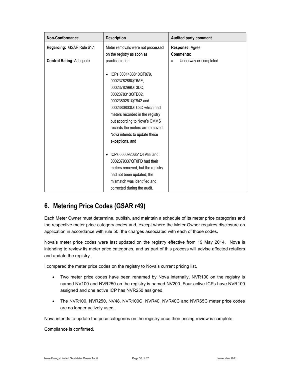| <b>Non-Conformance</b>          | <b>Description</b>                                                                                                                                                                                                                                                                                                 | Audited party comment               |
|---------------------------------|--------------------------------------------------------------------------------------------------------------------------------------------------------------------------------------------------------------------------------------------------------------------------------------------------------------------|-------------------------------------|
| Regarding: GSAR Rule 61.1       | Meter removals were not processed<br>on the registry as soon as                                                                                                                                                                                                                                                    | Response: Agree<br><b>Comments:</b> |
| <b>Control Rating: Adequate</b> | practicable for:<br>ICPs 0001433810QT879,<br>0002378286QT6AE,<br>0002378299QT3DD,<br>0002378313QTD02,<br>0002380261QT942 and<br>0002380803QTC3D which had<br>meters recorded in the registry<br>but according to Nova's CMMS<br>records the meters are removed.<br>Nova intends to update these<br>exceptions, and | Underway or completed               |
|                                 | ICPs 0000920651QTA88 and<br>0002379337QT0FD had their<br>meters removed, but the registry<br>had not been updated; the<br>mismatch was identified and<br>corrected during the audit.                                                                                                                               |                                     |

### 6. Metering Price Codes (GSAR r49)

Each Meter Owner must determine, publish, and maintain a schedule of its meter price categories and the respective meter price category codes and, except where the Meter Owner requires disclosure on application in accordance with rule 50, the charges associated with each of those codes.

Nova's meter price codes were last updated on the registry effective from 19 May 2014. Nova is intending to review its meter price categories, and as part of this process will advise affected retailers and update the registry.

I compared the meter price codes on the registry to Nova's current pricing list.

- Two meter price codes have been renamed by Nova internally, NVR100 on the registry is named NV100 and NVR250 on the registry is named NV200. Four active ICPs have NVR100 assigned and one active ICP has NVR250 assigned.
- The NVR100, NVR250, NV48, NVR100C, NVR40, NVR40C and NVR65C meter price codes are no longer actively used.

Nova intends to update the price categories on the registry once their pricing review is complete.

Compliance is confirmed.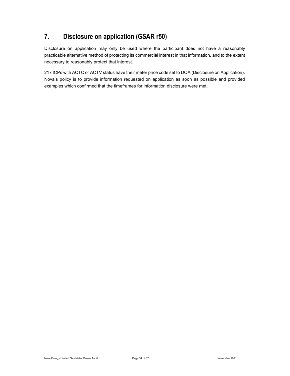### 7. Disclosure on application (GSAR r50)

Disclosure on application may only be used where the participant does not have a reasonably practicable alternative method of protecting its commercial interest in that information, and to the extent necessary to reasonably protect that interest.

217 ICPs with ACTC or ACTV status have their meter price code set to DOA (Disclosure on Application). Nova's policy is to provide information requested on application as soon as possible and provided examples which confirmed that the timeframes for information disclosure were met.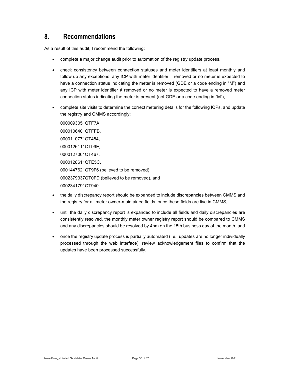### 8. Recommendations

As a result of this audit, I recommend the following:

- complete a major change audit prior to automation of the registry update process,
- check consistency between connection statuses and meter identifiers at least monthly and follow up any exceptions; any ICP with meter identifier = removed or no meter is expected to have a connection status indicating the meter is removed (GDE or a code ending in "M") and any ICP with meter identifier  $\neq$  removed or no meter is expected to have a removed meter connection status indicating the meter is present (not GDE or a code ending in "M"),
- complete site visits to determine the correct metering details for the following ICPs, and update the registry and CMMS accordingly:

0000093051QTF7A, 0000106401QTFFB, 0000110771QT484, 0000126111QT99E, 0000127061QT467, 0000128611QTE5C, 0001447621QT9F6 (believed to be removed), 0002379337QT0FD (believed to be removed), and 0002341791QT940.

- the daily discrepancy report should be expanded to include discrepancies between CMMS and the registry for all meter owner-maintained fields, once these fields are live in CMMS,
- until the daily discrepancy report is expanded to include all fields and daily discrepancies are consistently resolved, the monthly meter owner registry report should be compared to CMMS and any discrepancies should be resolved by 4pm on the 15th business day of the month, and
- once the registry update process is partially automated (i.e., updates are no longer individually processed through the web interface), review acknowledgement files to confirm that the updates have been processed successfully.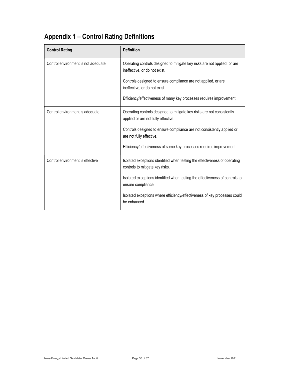# Appendix 1 – Control Rating Definitions

| <b>Control Rating</b>               | <b>Definition</b>                                                                                             |
|-------------------------------------|---------------------------------------------------------------------------------------------------------------|
| Control environment is not adequate | Operating controls designed to mitigate key risks are not applied, or are<br>ineffective, or do not exist.    |
|                                     | Controls designed to ensure compliance are not applied, or are<br>ineffective, or do not exist.               |
|                                     | Efficiency/effectiveness of many key processes requires improvement.                                          |
| Control environment is adequate     | Operating controls designed to mitigate key risks are not consistently<br>applied or are not fully effective. |
|                                     | Controls designed to ensure compliance are not consistently applied or<br>are not fully effective.            |
|                                     | Efficiency/effectiveness of some key processes requires improvement.                                          |
| Control environment is effective    | Isolated exceptions identified when testing the effectiveness of operating<br>controls to mitigate key risks. |
|                                     | Isolated exceptions identified when testing the effectiveness of controls to<br>ensure compliance.            |
|                                     | Isolated exceptions where efficiency/effectiveness of key processes could<br>be enhanced.                     |